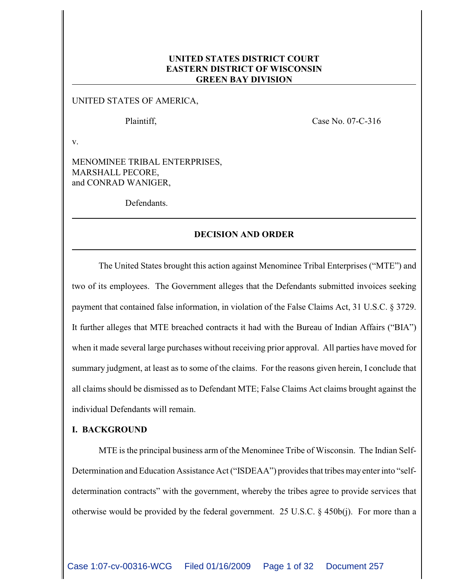# **UNITED STATES DISTRICT COURT EASTERN DISTRICT OF WISCONSIN GREEN BAY DIVISION**

UNITED STATES OF AMERICA,

Plaintiff, Case No. 07-C-316

v.

MENOMINEE TRIBAL ENTERPRISES, MARSHALL PECORE, and CONRAD WANIGER,

Defendants.

## **DECISION AND ORDER**

The United States brought this action against Menominee Tribal Enterprises ("MTE") and two of its employees. The Government alleges that the Defendants submitted invoices seeking payment that contained false information, in violation of the False Claims Act, 31 U.S.C. § 3729. It further alleges that MTE breached contracts it had with the Bureau of Indian Affairs ("BIA") when it made several large purchases without receiving prior approval. All parties have moved for summary judgment, at least as to some of the claims. For the reasons given herein, I conclude that all claims should be dismissed as to Defendant MTE; False Claims Act claims brought against the individual Defendants will remain.

# **I. BACKGROUND**

MTE is the principal business arm of the Menominee Tribe of Wisconsin. The Indian Self-Determination and Education Assistance Act ("ISDEAA") provides that tribes may enter into "selfdetermination contracts" with the government, whereby the tribes agree to provide services that otherwise would be provided by the federal government. 25 U.S.C. § 450b(j). For more than a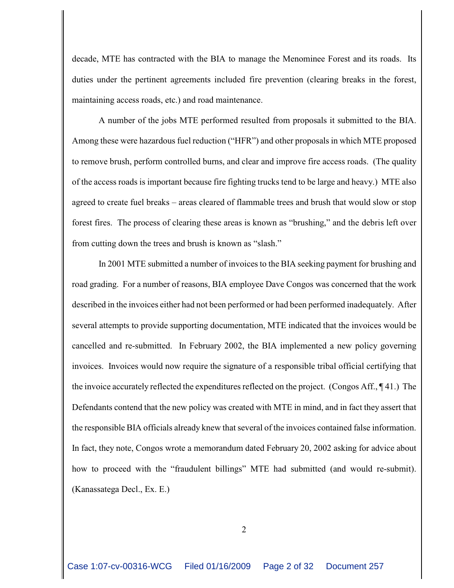decade, MTE has contracted with the BIA to manage the Menominee Forest and its roads. Its duties under the pertinent agreements included fire prevention (clearing breaks in the forest, maintaining access roads, etc.) and road maintenance.

A number of the jobs MTE performed resulted from proposals it submitted to the BIA. Among these were hazardous fuel reduction ("HFR") and other proposals in which MTE proposed to remove brush, perform controlled burns, and clear and improve fire access roads. (The quality of the access roads is important because fire fighting trucks tend to be large and heavy.) MTE also agreed to create fuel breaks – areas cleared of flammable trees and brush that would slow or stop forest fires. The process of clearing these areas is known as "brushing," and the debris left over from cutting down the trees and brush is known as "slash."

In 2001 MTE submitted a number of invoices to the BIA seeking payment for brushing and road grading. For a number of reasons, BIA employee Dave Congos was concerned that the work described in the invoices either had not been performed or had been performed inadequately. After several attempts to provide supporting documentation, MTE indicated that the invoices would be cancelled and re-submitted. In February 2002, the BIA implemented a new policy governing invoices. Invoices would now require the signature of a responsible tribal official certifying that the invoice accurately reflected the expenditures reflected on the project. (Congos Aff., ¶ 41.) The Defendants contend that the new policy was created with MTE in mind, and in fact they assert that the responsible BIA officials already knew that several of the invoices contained false information. In fact, they note, Congos wrote a memorandum dated February 20, 2002 asking for advice about how to proceed with the "fraudulent billings" MTE had submitted (and would re-submit). (Kanassatega Decl., Ex. E.)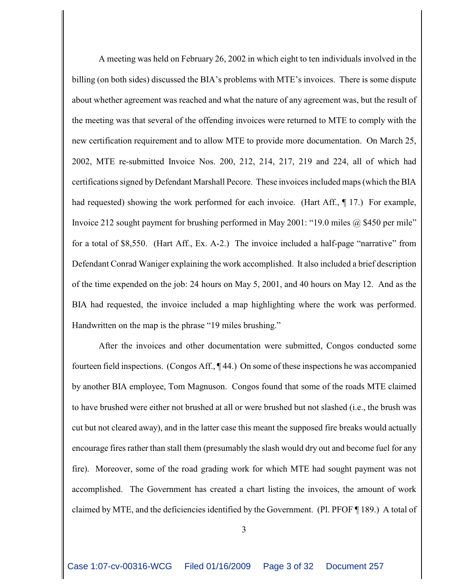A meeting was held on February 26, 2002 in which eight to ten individuals involved in the billing (on both sides) discussed the BIA's problems with MTE's invoices. There is some dispute about whether agreement was reached and what the nature of any agreement was, but the result of the meeting was that several of the offending invoices were returned to MTE to comply with the new certification requirement and to allow MTE to provide more documentation. On March 25, 2002, MTE re-submitted Invoice Nos. 200, 212, 214, 217, 219 and 224, all of which had certifications signed by Defendant Marshall Pecore. These invoices included maps (which the BIA had requested) showing the work performed for each invoice. (Hart Aff.,  $\P$  17.) For example, Invoice 212 sought payment for brushing performed in May 2001: "19.0 miles @ \$450 per mile" for a total of \$8,550. (Hart Aff., Ex. A-2.) The invoice included a half-page "narrative" from Defendant Conrad Waniger explaining the work accomplished. It also included a brief description of the time expended on the job: 24 hours on May 5, 2001, and 40 hours on May 12. And as the BIA had requested, the invoice included a map highlighting where the work was performed. Handwritten on the map is the phrase "19 miles brushing."

After the invoices and other documentation were submitted, Congos conducted some fourteen field inspections. (Congos Aff., ¶ 44.) On some of these inspections he was accompanied by another BIA employee, Tom Magnuson. Congos found that some of the roads MTE claimed to have brushed were either not brushed at all or were brushed but not slashed (i.e., the brush was cut but not cleared away), and in the latter case this meant the supposed fire breaks would actually encourage fires rather than stall them (presumably the slash would dry out and become fuel for any fire). Moreover, some of the road grading work for which MTE had sought payment was not accomplished. The Government has created a chart listing the invoices, the amount of work claimed by MTE, and the deficiencies identified by the Government. (Pl. PFOF ¶ 189.) A total of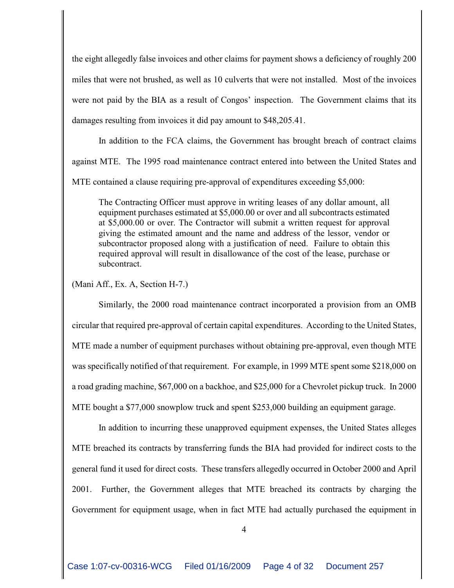the eight allegedly false invoices and other claims for payment shows a deficiency of roughly 200 miles that were not brushed, as well as 10 culverts that were not installed. Most of the invoices were not paid by the BIA as a result of Congos' inspection. The Government claims that its damages resulting from invoices it did pay amount to \$48,205.41.

In addition to the FCA claims, the Government has brought breach of contract claims against MTE. The 1995 road maintenance contract entered into between the United States and

MTE contained a clause requiring pre-approval of expenditures exceeding \$5,000:

The Contracting Officer must approve in writing leases of any dollar amount, all equipment purchases estimated at \$5,000.00 or over and all subcontracts estimated at \$5,000.00 or over. The Contractor will submit a written request for approval giving the estimated amount and the name and address of the lessor, vendor or subcontractor proposed along with a justification of need. Failure to obtain this required approval will result in disallowance of the cost of the lease, purchase or subcontract.

(Mani Aff., Ex. A, Section H-7.)

Similarly, the 2000 road maintenance contract incorporated a provision from an OMB circular that required pre-approval of certain capital expenditures. According to the United States, MTE made a number of equipment purchases without obtaining pre-approval, even though MTE was specifically notified of that requirement. For example, in 1999 MTE spent some \$218,000 on a road grading machine, \$67,000 on a backhoe, and \$25,000 for a Chevrolet pickup truck. In 2000 MTE bought a \$77,000 snowplow truck and spent \$253,000 building an equipment garage.

In addition to incurring these unapproved equipment expenses, the United States alleges MTE breached its contracts by transferring funds the BIA had provided for indirect costs to the general fund it used for direct costs. These transfers allegedly occurred in October 2000 and April 2001. Further, the Government alleges that MTE breached its contracts by charging the Government for equipment usage, when in fact MTE had actually purchased the equipment in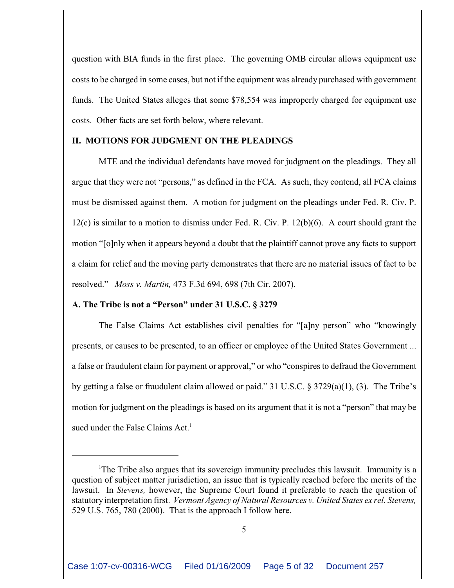question with BIA funds in the first place. The governing OMB circular allows equipment use costs to be charged in some cases, but not if the equipment was already purchased with government funds. The United States alleges that some \$78,554 was improperly charged for equipment use costs. Other facts are set forth below, where relevant.

## **II. MOTIONS FOR JUDGMENT ON THE PLEADINGS**

MTE and the individual defendants have moved for judgment on the pleadings. They all argue that they were not "persons," as defined in the FCA. As such, they contend, all FCA claims must be dismissed against them. A motion for judgment on the pleadings under Fed. R. Civ. P.  $12(c)$  is similar to a motion to dismiss under Fed. R. Civ. P.  $12(b)(6)$ . A court should grant the motion "[o]nly when it appears beyond a doubt that the plaintiff cannot prove any facts to support a claim for relief and the moving party demonstrates that there are no material issues of fact to be resolved." *Moss v. Martin,* 473 F.3d 694, 698 (7th Cir. 2007).

## **A. The Tribe is not a "Person" under 31 U.S.C. § 3279**

The False Claims Act establishes civil penalties for "[a]ny person" who "knowingly presents, or causes to be presented, to an officer or employee of the United States Government ... a false or fraudulent claim for payment or approval," or who "conspires to defraud the Government by getting a false or fraudulent claim allowed or paid." 31 U.S.C. § 3729(a)(1), (3). The Tribe's motion for judgment on the pleadings is based on its argument that it is not a "person" that may be sued under the False Claims Act.<sup>1</sup>

The Tribe also argues that its sovereign immunity precludes this lawsuit. Immunity is a question of subject matter jurisdiction, an issue that is typically reached before the merits of the lawsuit. In *Stevens,* however, the Supreme Court found it preferable to reach the question of statutory interpretation first. *Vermont Agency of Natural Resources v. United States ex rel. Stevens,* 529 U.S. 765, 780 (2000). That is the approach I follow here.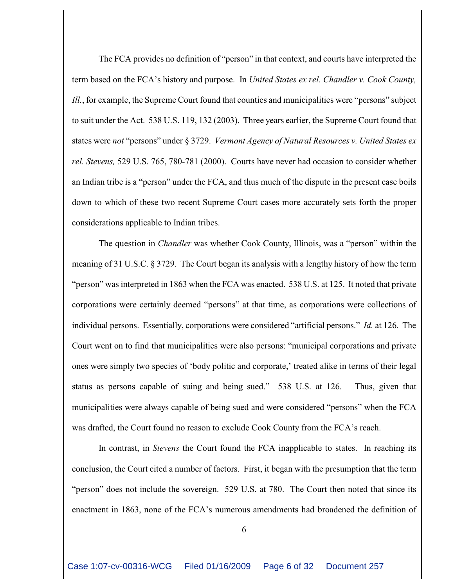The FCA provides no definition of "person" in that context, and courts have interpreted the term based on the FCA's history and purpose. In *United States ex rel. Chandler v. Cook County, Ill.*, for example, the Supreme Court found that counties and municipalities were "persons" subject to suit under the Act. 538 U.S. 119, 132 (2003). Three years earlier, the Supreme Court found that states were *not* "persons" under § 3729. *Vermont Agency of Natural Resources v. United States ex rel. Stevens,* 529 U.S. 765, 780-781 (2000). Courts have never had occasion to consider whether an Indian tribe is a "person" under the FCA, and thus much of the dispute in the present case boils down to which of these two recent Supreme Court cases more accurately sets forth the proper considerations applicable to Indian tribes.

The question in *Chandler* was whether Cook County, Illinois, was a "person" within the meaning of 31 U.S.C. § 3729. The Court began its analysis with a lengthy history of how the term "person" was interpreted in 1863 when the FCA was enacted. 538 U.S. at 125. It noted that private corporations were certainly deemed "persons" at that time, as corporations were collections of individual persons. Essentially, corporations were considered "artificial persons." *Id.* at 126. The Court went on to find that municipalities were also persons: "municipal corporations and private ones were simply two species of 'body politic and corporate,' treated alike in terms of their legal status as persons capable of suing and being sued." 538 U.S. at 126. Thus, given that municipalities were always capable of being sued and were considered "persons" when the FCA was drafted, the Court found no reason to exclude Cook County from the FCA's reach.

In contrast, in *Stevens* the Court found the FCA inapplicable to states. In reaching its conclusion, the Court cited a number of factors. First, it began with the presumption that the term "person" does not include the sovereign. 529 U.S. at 780. The Court then noted that since its enactment in 1863, none of the FCA's numerous amendments had broadened the definition of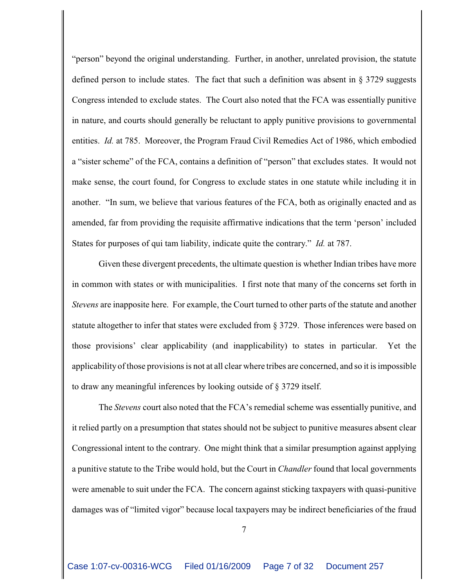"person" beyond the original understanding. Further, in another, unrelated provision, the statute defined person to include states. The fact that such a definition was absent in  $\S 3729$  suggests Congress intended to exclude states. The Court also noted that the FCA was essentially punitive in nature, and courts should generally be reluctant to apply punitive provisions to governmental entities. *Id.* at 785. Moreover, the Program Fraud Civil Remedies Act of 1986, which embodied a "sister scheme" of the FCA, contains a definition of "person" that excludes states. It would not make sense, the court found, for Congress to exclude states in one statute while including it in another. "In sum, we believe that various features of the FCA, both as originally enacted and as amended, far from providing the requisite affirmative indications that the term 'person' included States for purposes of qui tam liability, indicate quite the contrary." *Id.* at 787.

Given these divergent precedents, the ultimate question is whether Indian tribes have more in common with states or with municipalities. I first note that many of the concerns set forth in *Stevens* are inapposite here. For example, the Court turned to other parts of the statute and another statute altogether to infer that states were excluded from § 3729. Those inferences were based on those provisions' clear applicability (and inapplicability) to states in particular. Yet the applicability of those provisions is not at all clear where tribes are concerned, and so it is impossible to draw any meaningful inferences by looking outside of § 3729 itself.

The *Stevens* court also noted that the FCA's remedial scheme was essentially punitive, and it relied partly on a presumption that states should not be subject to punitive measures absent clear Congressional intent to the contrary. One might think that a similar presumption against applying a punitive statute to the Tribe would hold, but the Court in *Chandler* found that local governments were amenable to suit under the FCA. The concern against sticking taxpayers with quasi-punitive damages was of "limited vigor" because local taxpayers may be indirect beneficiaries of the fraud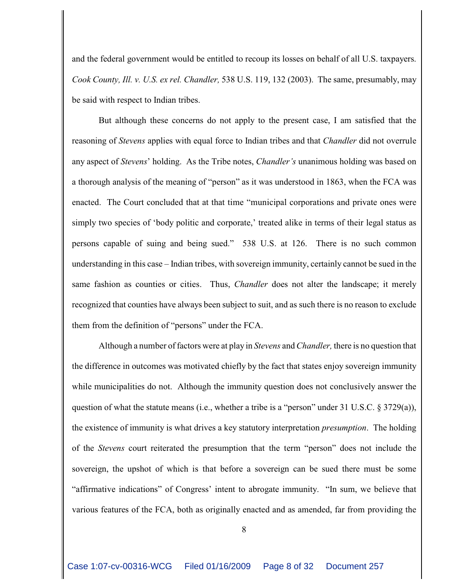and the federal government would be entitled to recoup its losses on behalf of all U.S. taxpayers. *Cook County, Ill. v. U.S. ex rel. Chandler,* 538 U.S. 119, 132 (2003). The same, presumably, may be said with respect to Indian tribes.

But although these concerns do not apply to the present case, I am satisfied that the reasoning of *Stevens* applies with equal force to Indian tribes and that *Chandler* did not overrule any aspect of *Stevens*' holding. As the Tribe notes, *Chandler's* unanimous holding was based on a thorough analysis of the meaning of "person" as it was understood in 1863, when the FCA was enacted. The Court concluded that at that time "municipal corporations and private ones were simply two species of 'body politic and corporate,' treated alike in terms of their legal status as persons capable of suing and being sued." 538 U.S. at 126. There is no such common understanding in this case – Indian tribes, with sovereign immunity, certainly cannot be sued in the same fashion as counties or cities. Thus, *Chandler* does not alter the landscape; it merely recognized that counties have always been subject to suit, and as such there is no reason to exclude them from the definition of "persons" under the FCA.

Although a number of factors were at play in *Stevens* and *Chandler,* there is no question that the difference in outcomes was motivated chiefly by the fact that states enjoy sovereign immunity while municipalities do not. Although the immunity question does not conclusively answer the question of what the statute means (i.e., whether a tribe is a "person" under 31 U.S.C. § 3729(a)), the existence of immunity is what drives a key statutory interpretation *presumption*. The holding of the *Stevens* court reiterated the presumption that the term "person" does not include the sovereign, the upshot of which is that before a sovereign can be sued there must be some "affirmative indications" of Congress' intent to abrogate immunity. "In sum, we believe that various features of the FCA, both as originally enacted and as amended, far from providing the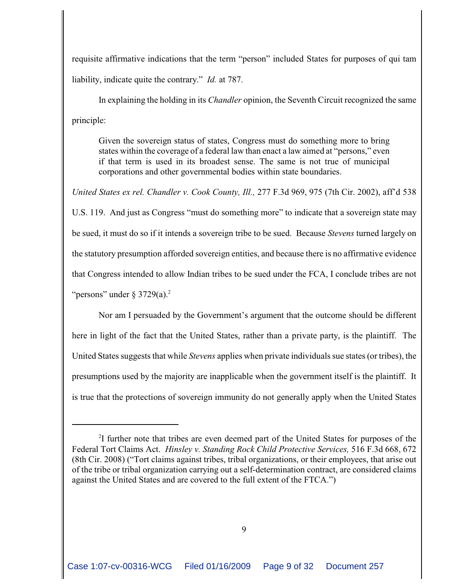requisite affirmative indications that the term "person" included States for purposes of qui tam liability, indicate quite the contrary." *Id.* at 787.

In explaining the holding in its *Chandler* opinion, the Seventh Circuit recognized the same principle:

Given the sovereign status of states, Congress must do something more to bring states within the coverage of a federal law than enact a law aimed at "persons," even if that term is used in its broadest sense. The same is not true of municipal corporations and other governmental bodies within state boundaries.

*United States ex rel. Chandler v. Cook County, Ill.,* 277 F.3d 969, 975 (7th Cir. 2002), aff'd 538 U.S. 119. And just as Congress "must do something more" to indicate that a sovereign state may be sued, it must do so if it intends a sovereign tribe to be sued. Because *Stevens* turned largely on the statutory presumption afforded sovereign entities, and because there is no affirmative evidence that Congress intended to allow Indian tribes to be sued under the FCA, I conclude tribes are not "persons" under  $\S 3729(a).^2$ 

Nor am I persuaded by the Government's argument that the outcome should be different here in light of the fact that the United States, rather than a private party, is the plaintiff. The United States suggests that while *Stevens* applies when private individuals sue states (or tribes), the presumptions used by the majority are inapplicable when the government itself is the plaintiff. It is true that the protections of sovereign immunity do not generally apply when the United States

 $2I$  further note that tribes are even deemed part of the United States for purposes of the Federal Tort Claims Act. *Hinsley v. Standing Rock Child Protective Services,* 516 F.3d 668, 672 (8th Cir. 2008) ("Tort claims against tribes, tribal organizations, or their employees, that arise out of the tribe or tribal organization carrying out a self-determination contract, are considered claims against the United States and are covered to the full extent of the FTCA.")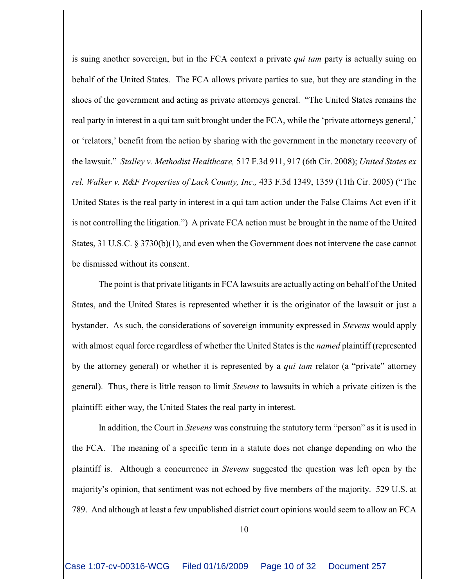is suing another sovereign, but in the FCA context a private *qui tam* party is actually suing on behalf of the United States. The FCA allows private parties to sue, but they are standing in the shoes of the government and acting as private attorneys general. "The United States remains the real party in interest in a qui tam suit brought under the FCA, while the 'private attorneys general,' or 'relators,' benefit from the action by sharing with the government in the monetary recovery of the lawsuit." *Stalley v. Methodist Healthcare,* 517 F.3d 911, 917 (6th Cir. 2008); *United States ex rel. Walker v. R&F Properties of Lack County, Inc.,* 433 F.3d 1349, 1359 (11th Cir. 2005) ("The United States is the real party in interest in a qui tam action under the False Claims Act even if it is not controlling the litigation.") A private FCA action must be brought in the name of the United States, 31 U.S.C. § 3730(b)(1), and even when the Government does not intervene the case cannot be dismissed without its consent.

The point is that private litigants in FCA lawsuits are actually acting on behalf of the United States, and the United States is represented whether it is the originator of the lawsuit or just a bystander. As such, the considerations of sovereign immunity expressed in *Stevens* would apply with almost equal force regardless of whether the United States is the *named* plaintiff (represented by the attorney general) or whether it is represented by a *qui tam* relator (a "private" attorney general). Thus, there is little reason to limit *Stevens* to lawsuits in which a private citizen is the plaintiff: either way, the United States the real party in interest.

In addition, the Court in *Stevens* was construing the statutory term "person" as it is used in the FCA. The meaning of a specific term in a statute does not change depending on who the plaintiff is. Although a concurrence in *Stevens* suggested the question was left open by the majority's opinion, that sentiment was not echoed by five members of the majority. 529 U.S. at 789. And although at least a few unpublished district court opinions would seem to allow an FCA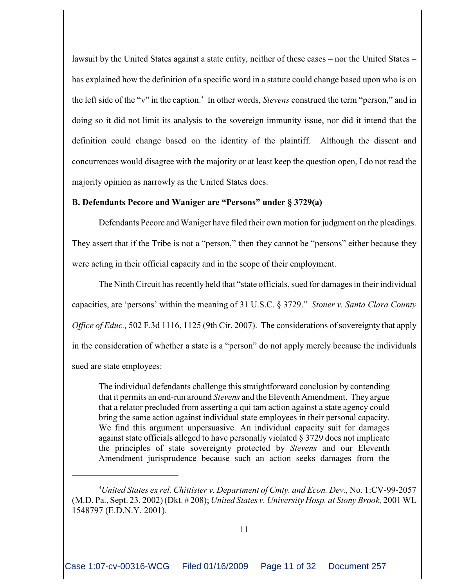lawsuit by the United States against a state entity, neither of these cases – nor the United States – has explained how the definition of a specific word in a statute could change based upon who is on the left side of the "v" in the caption.<sup>3</sup> In other words, *Stevens* construed the term "person," and in doing so it did not limit its analysis to the sovereign immunity issue, nor did it intend that the definition could change based on the identity of the plaintiff. Although the dissent and concurrences would disagree with the majority or at least keep the question open, I do not read the majority opinion as narrowly as the United States does.

# **B. Defendants Pecore and Waniger are "Persons" under § 3729(a)**

Defendants Pecore and Waniger have filed their own motion for judgment on the pleadings. They assert that if the Tribe is not a "person," then they cannot be "persons" either because they were acting in their official capacity and in the scope of their employment.

The Ninth Circuit has recently held that "state officials, sued for damages in their individual capacities, are 'persons' within the meaning of 31 U.S.C. § 3729." *Stoner v. Santa Clara County Office of Educ.*, 502 F.3d 1116, 1125 (9th Cir. 2007). The considerations of sovereignty that apply in the consideration of whether a state is a "person" do not apply merely because the individuals sued are state employees:

The individual defendants challenge this straightforward conclusion by contending that it permits an end-run around *Stevens* and the Eleventh Amendment. They argue that a relator precluded from asserting a qui tam action against a state agency could bring the same action against individual state employees in their personal capacity. We find this argument unpersuasive. An individual capacity suit for damages against state officials alleged to have personally violated § 3729 does not implicate the principles of state sovereignty protected by *Stevens* and our Eleventh Amendment jurisprudence because such an action seeks damages from the

*United States ex rel. Chittister v. Department of Cmty. and Econ. Dev.,* No. 1:CV-99-2057 <sup>3</sup> (M.D. Pa., Sept. 23, 2002) (Dkt. # 208); *United States v. University Hosp. at Stony Brook,* 2001 WL 1548797 (E.D.N.Y. 2001).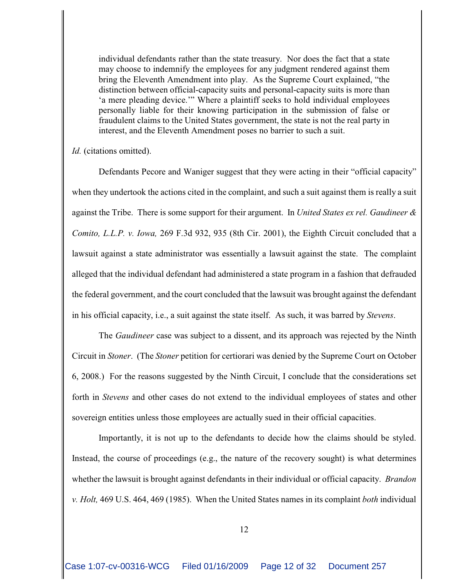individual defendants rather than the state treasury. Nor does the fact that a state may choose to indemnify the employees for any judgment rendered against them bring the Eleventh Amendment into play. As the Supreme Court explained, "the distinction between official-capacity suits and personal-capacity suits is more than 'a mere pleading device.'" Where a plaintiff seeks to hold individual employees personally liable for their knowing participation in the submission of false or fraudulent claims to the United States government, the state is not the real party in interest, and the Eleventh Amendment poses no barrier to such a suit.

*Id.* (citations omitted).

Defendants Pecore and Waniger suggest that they were acting in their "official capacity" when they undertook the actions cited in the complaint, and such a suit against them is really a suit against the Tribe. There is some support for their argument. In *United States ex rel. Gaudineer & Comito, L.L.P. v. Iowa,* 269 F.3d 932, 935 (8th Cir. 2001), the Eighth Circuit concluded that a lawsuit against a state administrator was essentially a lawsuit against the state. The complaint alleged that the individual defendant had administered a state program in a fashion that defrauded the federal government, and the court concluded that the lawsuit was brought against the defendant in his official capacity, i.e., a suit against the state itself. As such, it was barred by *Stevens*.

The *Gaudineer* case was subject to a dissent, and its approach was rejected by the Ninth Circuit in *Stoner*. (The *Stoner* petition for certiorari was denied by the Supreme Court on October 6, 2008.) For the reasons suggested by the Ninth Circuit, I conclude that the considerations set forth in *Stevens* and other cases do not extend to the individual employees of states and other sovereign entities unless those employees are actually sued in their official capacities.

Importantly, it is not up to the defendants to decide how the claims should be styled. Instead, the course of proceedings (e.g., the nature of the recovery sought) is what determines whether the lawsuit is brought against defendants in their individual or official capacity. *Brandon v. Holt,* 469 U.S. 464, 469 (1985). When the United States names in its complaint *both* individual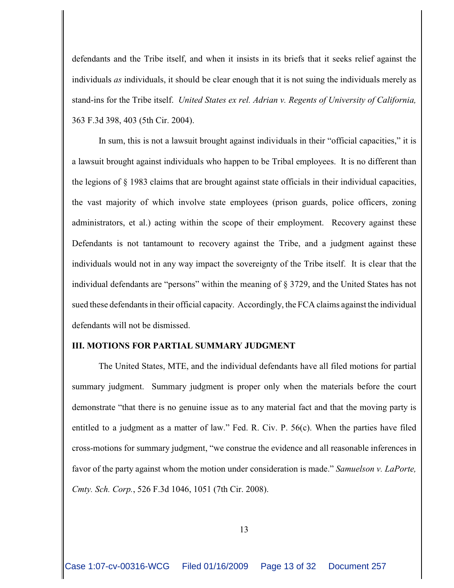defendants and the Tribe itself, and when it insists in its briefs that it seeks relief against the individuals *as* individuals, it should be clear enough that it is not suing the individuals merely as stand-ins for the Tribe itself. *United States ex rel. Adrian v. Regents of University of California,* 363 F.3d 398, 403 (5th Cir. 2004).

In sum, this is not a lawsuit brought against individuals in their "official capacities," it is a lawsuit brought against individuals who happen to be Tribal employees. It is no different than the legions of § 1983 claims that are brought against state officials in their individual capacities, the vast majority of which involve state employees (prison guards, police officers, zoning administrators, et al.) acting within the scope of their employment. Recovery against these Defendants is not tantamount to recovery against the Tribe, and a judgment against these individuals would not in any way impact the sovereignty of the Tribe itself. It is clear that the individual defendants are "persons" within the meaning of § 3729, and the United States has not sued these defendants in their official capacity. Accordingly, the FCA claims against the individual defendants will not be dismissed.

## **III. MOTIONS FOR PARTIAL SUMMARY JUDGMENT**

The United States, MTE, and the individual defendants have all filed motions for partial summary judgment. Summary judgment is proper only when the materials before the court demonstrate "that there is no genuine issue as to any material fact and that the moving party is entitled to a judgment as a matter of law." Fed. R. Civ. P. 56(c). When the parties have filed cross-motions for summary judgment, "we construe the evidence and all reasonable inferences in favor of the party against whom the motion under consideration is made." *Samuelson v. LaPorte, Cmty. Sch. Corp.*, 526 F.3d 1046, 1051 (7th Cir. 2008).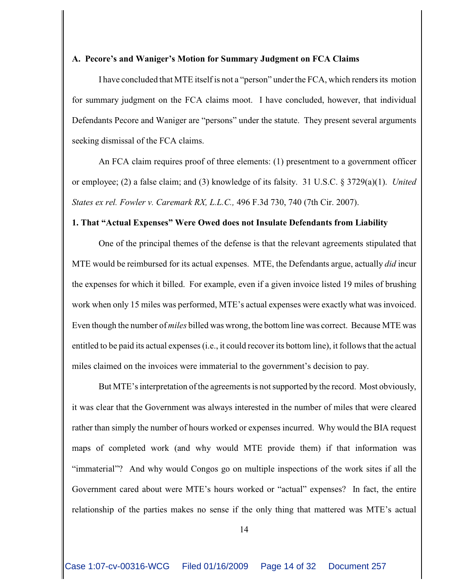## **A. Pecore's and Waniger's Motion for Summary Judgment on FCA Claims**

I have concluded that MTE itself is not a "person" under the FCA, which renders its motion for summary judgment on the FCA claims moot. I have concluded, however, that individual Defendants Pecore and Waniger are "persons" under the statute. They present several arguments seeking dismissal of the FCA claims.

An FCA claim requires proof of three elements: (1) presentment to a government officer or employee; (2) a false claim; and (3) knowledge of its falsity. 31 U.S.C. § 3729(a)(1). *United States ex rel. Fowler v. Caremark RX, L.L.C.,* 496 F.3d 730, 740 (7th Cir. 2007).

## **1. That "Actual Expenses" Were Owed does not Insulate Defendants from Liability**

One of the principal themes of the defense is that the relevant agreements stipulated that MTE would be reimbursed for its actual expenses. MTE, the Defendants argue, actually *did* incur the expenses for which it billed. For example, even if a given invoice listed 19 miles of brushing work when only 15 miles was performed, MTE's actual expenses were exactly what was invoiced. Even though the number of *miles* billed was wrong, the bottom line was correct. Because MTE was entitled to be paid its actual expenses (i.e., it could recover its bottom line), it follows that the actual miles claimed on the invoices were immaterial to the government's decision to pay.

But MTE's interpretation of the agreements is not supported by the record. Most obviously, it was clear that the Government was always interested in the number of miles that were cleared rather than simply the number of hours worked or expenses incurred. Why would the BIA request maps of completed work (and why would MTE provide them) if that information was "immaterial"? And why would Congos go on multiple inspections of the work sites if all the Government cared about were MTE's hours worked or "actual" expenses? In fact, the entire relationship of the parties makes no sense if the only thing that mattered was MTE's actual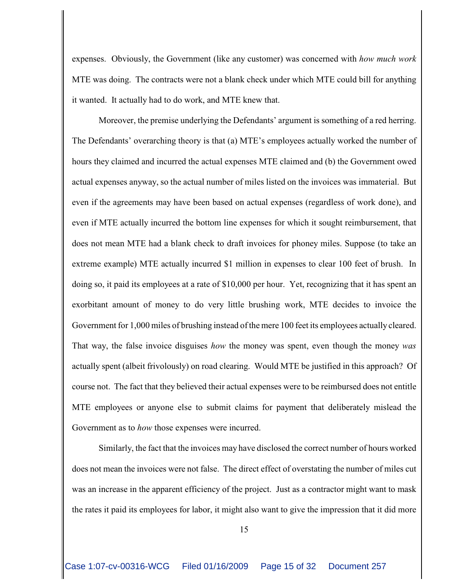expenses. Obviously, the Government (like any customer) was concerned with *how much work* MTE was doing. The contracts were not a blank check under which MTE could bill for anything it wanted. It actually had to do work, and MTE knew that.

Moreover, the premise underlying the Defendants' argument is something of a red herring. The Defendants' overarching theory is that (a) MTE's employees actually worked the number of hours they claimed and incurred the actual expenses MTE claimed and (b) the Government owed actual expenses anyway, so the actual number of miles listed on the invoices was immaterial. But even if the agreements may have been based on actual expenses (regardless of work done), and even if MTE actually incurred the bottom line expenses for which it sought reimbursement, that does not mean MTE had a blank check to draft invoices for phoney miles. Suppose (to take an extreme example) MTE actually incurred \$1 million in expenses to clear 100 feet of brush. In doing so, it paid its employees at a rate of \$10,000 per hour. Yet, recognizing that it has spent an exorbitant amount of money to do very little brushing work, MTE decides to invoice the Government for 1,000 miles of brushing instead of the mere 100 feet its employees actually cleared. That way, the false invoice disguises *how* the money was spent, even though the money *was* actually spent (albeit frivolously) on road clearing. Would MTE be justified in this approach? Of course not. The fact that they believed their actual expenses were to be reimbursed does not entitle MTE employees or anyone else to submit claims for payment that deliberately mislead the Government as to *how* those expenses were incurred.

Similarly, the fact that the invoices may have disclosed the correct number of hours worked does not mean the invoices were not false. The direct effect of overstating the number of miles cut was an increase in the apparent efficiency of the project. Just as a contractor might want to mask the rates it paid its employees for labor, it might also want to give the impression that it did more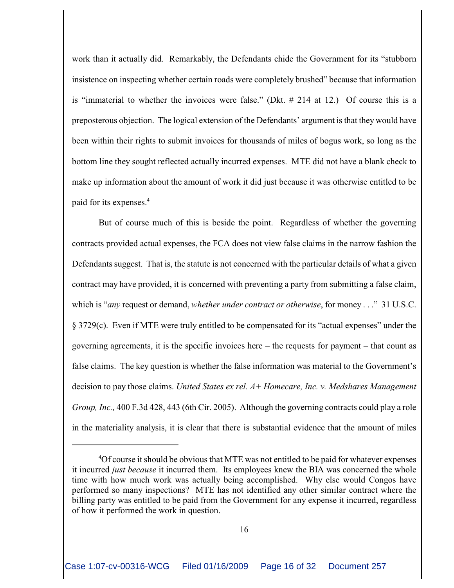work than it actually did. Remarkably, the Defendants chide the Government for its "stubborn insistence on inspecting whether certain roads were completely brushed" because that information is "immaterial to whether the invoices were false." (Dkt. # 214 at 12.) Of course this is a preposterous objection. The logical extension of the Defendants' argument is that they would have been within their rights to submit invoices for thousands of miles of bogus work, so long as the bottom line they sought reflected actually incurred expenses. MTE did not have a blank check to make up information about the amount of work it did just because it was otherwise entitled to be paid for its expenses.<sup>4</sup>

But of course much of this is beside the point. Regardless of whether the governing contracts provided actual expenses, the FCA does not view false claims in the narrow fashion the Defendants suggest. That is, the statute is not concerned with the particular details of what a given contract may have provided, it is concerned with preventing a party from submitting a false claim, which is "*any* request or demand, *whether under contract or otherwise*, for money . . ." 31 U.S.C. § 3729(c). Even if MTE were truly entitled to be compensated for its "actual expenses" under the governing agreements, it is the specific invoices here – the requests for payment – that count as false claims. The key question is whether the false information was material to the Government's decision to pay those claims. *United States ex rel. A+ Homecare, Inc. v. Medshares Management Group, Inc.,* 400 F.3d 428, 443 (6th Cir. 2005). Although the governing contracts could play a role in the materiality analysis, it is clear that there is substantial evidence that the amount of miles

<sup>&</sup>lt;sup>4</sup>Of course it should be obvious that MTE was not entitled to be paid for whatever expenses it incurred *just because* it incurred them. Its employees knew the BIA was concerned the whole time with how much work was actually being accomplished. Why else would Congos have performed so many inspections? MTE has not identified any other similar contract where the billing party was entitled to be paid from the Government for any expense it incurred, regardless of how it performed the work in question.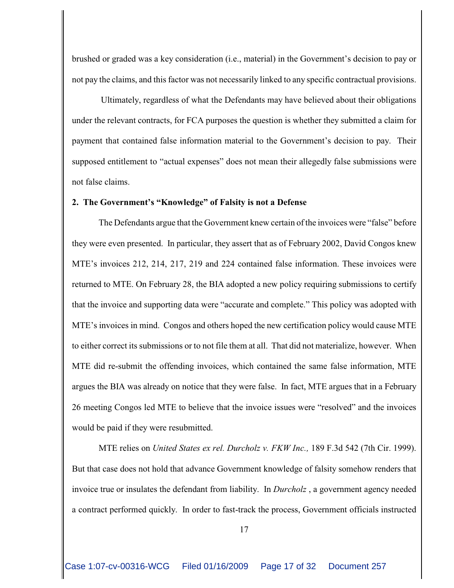brushed or graded was a key consideration (i.e., material) in the Government's decision to pay or not pay the claims, and this factor was not necessarily linked to any specific contractual provisions.

 Ultimately, regardless of what the Defendants may have believed about their obligations under the relevant contracts, for FCA purposes the question is whether they submitted a claim for payment that contained false information material to the Government's decision to pay. Their supposed entitlement to "actual expenses" does not mean their allegedly false submissions were not false claims.

#### **2. The Government's "Knowledge" of Falsity is not a Defense**

The Defendants argue that the Government knew certain of the invoices were "false" before they were even presented. In particular, they assert that as of February 2002, David Congos knew MTE's invoices 212, 214, 217, 219 and 224 contained false information. These invoices were returned to MTE. On February 28, the BIA adopted a new policy requiring submissions to certify that the invoice and supporting data were "accurate and complete." This policy was adopted with MTE's invoices in mind. Congos and others hoped the new certification policy would cause MTE to either correct its submissions or to not file them at all. That did not materialize, however. When MTE did re-submit the offending invoices, which contained the same false information, MTE argues the BIA was already on notice that they were false. In fact, MTE argues that in a February 26 meeting Congos led MTE to believe that the invoice issues were "resolved" and the invoices would be paid if they were resubmitted.

MTE relies on *United States ex rel. Durcholz v. FKW Inc.,* 189 F.3d 542 (7th Cir. 1999). But that case does not hold that advance Government knowledge of falsity somehow renders that invoice true or insulates the defendant from liability. In *Durcholz* , a government agency needed a contract performed quickly. In order to fast-track the process, Government officials instructed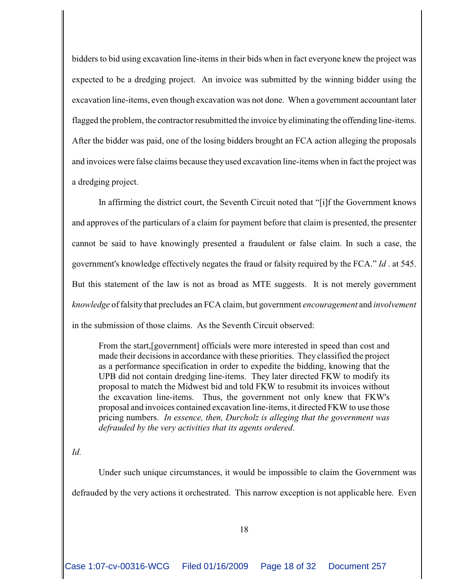bidders to bid using excavation line-items in their bids when in fact everyone knew the project was expected to be a dredging project. An invoice was submitted by the winning bidder using the excavation line-items, even though excavation was not done. When a government accountant later flagged the problem, the contractor resubmitted the invoice by eliminating the offending line-items. After the bidder was paid, one of the losing bidders brought an FCA action alleging the proposals and invoices were false claims because they used excavation line-items when in fact the project was a dredging project.

In affirming the district court, the Seventh Circuit noted that "[i]f the Government knows and approves of the particulars of a claim for payment before that claim is presented, the presenter cannot be said to have knowingly presented a fraudulent or false claim. In such a case, the government's knowledge effectively negates the fraud or falsity required by the FCA." *Id* . at 545. But this statement of the law is not as broad as MTE suggests. It is not merely government *knowledge* of falsity that precludes an FCA claim, but government *encouragement* and *involvement* in the submission of those claims. As the Seventh Circuit observed:

From the start,[government] officials were more interested in speed than cost and made their decisions in accordance with these priorities. They classified the project as a performance specification in order to expedite the bidding, knowing that the UPB did not contain dredging line-items. They later directed FKW to modify its proposal to match the Midwest bid and told FKW to resubmit its invoices without the excavation line-items. Thus, the government not only knew that FKW's proposal and invoices contained excavation line-items, it directed FKW to use those pricing numbers. *In essence, then, Durcholz is alleging that the government was defrauded by the very activities that its agents ordered*.

## *Id.*

Under such unique circumstances, it would be impossible to claim the Government was defrauded by the very actions it orchestrated. This narrow exception is not applicable here. Even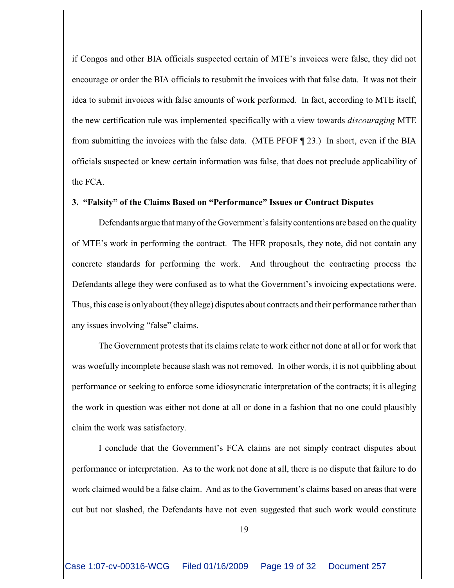if Congos and other BIA officials suspected certain of MTE's invoices were false, they did not encourage or order the BIA officials to resubmit the invoices with that false data. It was not their idea to submit invoices with false amounts of work performed. In fact, according to MTE itself, the new certification rule was implemented specifically with a view towards *discouraging* MTE from submitting the invoices with the false data. (MTE PFOF ¶ 23.) In short, even if the BIA officials suspected or knew certain information was false, that does not preclude applicability of the FCA.

## **3. "Falsity" of the Claims Based on "Performance" Issues or Contract Disputes**

Defendants argue that many of the Government's falsity contentions are based on the quality of MTE's work in performing the contract. The HFR proposals, they note, did not contain any concrete standards for performing the work. And throughout the contracting process the Defendants allege they were confused as to what the Government's invoicing expectations were. Thus, this case is onlyabout (they allege) disputes about contracts and their performance rather than any issues involving "false" claims.

The Government protests that its claims relate to work either not done at all or for work that was woefully incomplete because slash was not removed. In other words, it is not quibbling about performance or seeking to enforce some idiosyncratic interpretation of the contracts; it is alleging the work in question was either not done at all or done in a fashion that no one could plausibly claim the work was satisfactory.

I conclude that the Government's FCA claims are not simply contract disputes about performance or interpretation. As to the work not done at all, there is no dispute that failure to do work claimed would be a false claim. And as to the Government's claims based on areas that were cut but not slashed, the Defendants have not even suggested that such work would constitute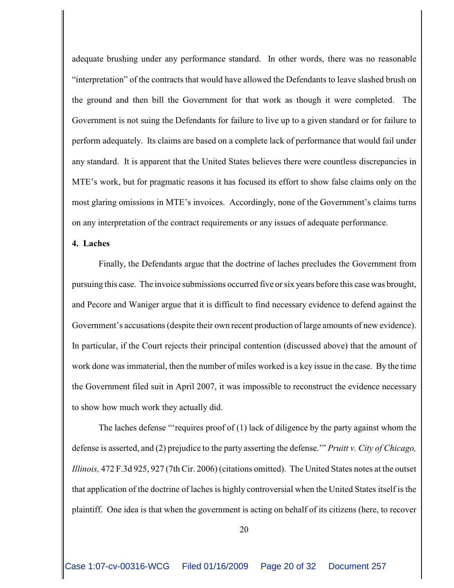adequate brushing under any performance standard. In other words, there was no reasonable "interpretation" of the contracts that would have allowed the Defendants to leave slashed brush on the ground and then bill the Government for that work as though it were completed. The Government is not suing the Defendants for failure to live up to a given standard or for failure to perform adequately. Its claims are based on a complete lack of performance that would fail under any standard. It is apparent that the United States believes there were countless discrepancies in MTE's work, but for pragmatic reasons it has focused its effort to show false claims only on the most glaring omissions in MTE's invoices. Accordingly, none of the Government's claims turns on any interpretation of the contract requirements or any issues of adequate performance.

## **4. Laches**

Finally, the Defendants argue that the doctrine of laches precludes the Government from pursuing this case. The invoice submissions occurred five or six years before this case was brought, and Pecore and Waniger argue that it is difficult to find necessary evidence to defend against the Government's accusations (despite their own recent production of large amounts of new evidence). In particular, if the Court rejects their principal contention (discussed above) that the amount of work done was immaterial, then the number of miles worked is a key issue in the case. By the time the Government filed suit in April 2007, it was impossible to reconstruct the evidence necessary to show how much work they actually did.

The laches defense "'requires proof of (1) lack of diligence by the party against whom the defense is asserted, and (2) prejudice to the party asserting the defense.'" *Pruitt v. City of Chicago, Illinois,* 472 F.3d 925, 927 (7th Cir. 2006) (citations omitted). The United States notes at the outset that application of the doctrine of laches is highly controversial when the United States itself is the plaintiff. One idea is that when the government is acting on behalf of its citizens (here, to recover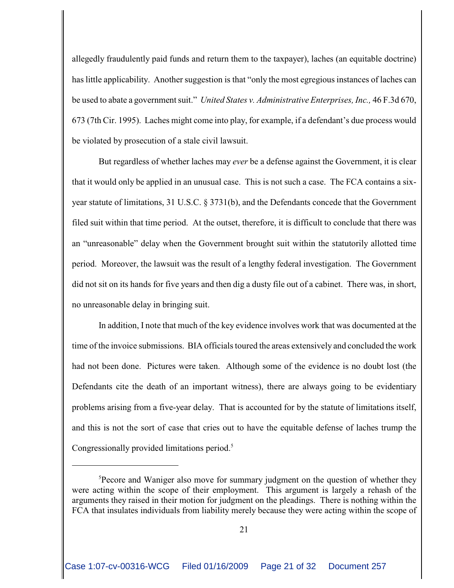allegedly fraudulently paid funds and return them to the taxpayer), laches (an equitable doctrine) has little applicability. Another suggestion is that "only the most egregious instances of laches can be used to abate a government suit." *United States v. Administrative Enterprises, Inc.,* 46 F.3d 670, 673 (7th Cir. 1995). Laches might come into play, for example, if a defendant's due process would be violated by prosecution of a stale civil lawsuit.

But regardless of whether laches may *ever* be a defense against the Government, it is clear that it would only be applied in an unusual case. This is not such a case. The FCA contains a sixyear statute of limitations, 31 U.S.C. § 3731(b), and the Defendants concede that the Government filed suit within that time period. At the outset, therefore, it is difficult to conclude that there was an "unreasonable" delay when the Government brought suit within the statutorily allotted time period. Moreover, the lawsuit was the result of a lengthy federal investigation. The Government did not sit on its hands for five years and then dig a dusty file out of a cabinet. There was, in short, no unreasonable delay in bringing suit.

In addition, I note that much of the key evidence involves work that was documented at the time of the invoice submissions. BIA officials toured the areas extensively and concluded the work had not been done. Pictures were taken. Although some of the evidence is no doubt lost (the Defendants cite the death of an important witness), there are always going to be evidentiary problems arising from a five-year delay. That is accounted for by the statute of limitations itself, and this is not the sort of case that cries out to have the equitable defense of laches trump the Congressionally provided limitations period.<sup>5</sup>

<sup>&</sup>lt;sup>5</sup>Pecore and Waniger also move for summary judgment on the question of whether they were acting within the scope of their employment. This argument is largely a rehash of the arguments they raised in their motion for judgment on the pleadings. There is nothing within the FCA that insulates individuals from liability merely because they were acting within the scope of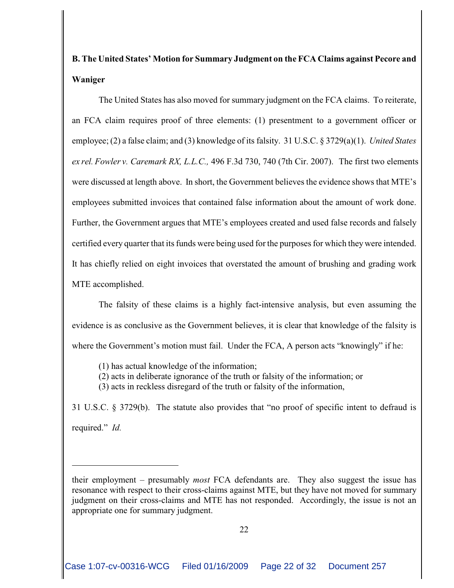# **B. The United States' Motion for Summary Judgment on the FCA Claims against Pecore and Waniger**

The United States has also moved for summary judgment on the FCA claims. To reiterate, an FCA claim requires proof of three elements: (1) presentment to a government officer or employee; (2) a false claim; and (3) knowledge of its falsity. 31 U.S.C. § 3729(a)(1). *United States ex rel. Fowler v. Caremark RX, L.L.C.,* 496 F.3d 730, 740 (7th Cir. 2007). The first two elements were discussed at length above. In short, the Government believes the evidence shows that MTE's employees submitted invoices that contained false information about the amount of work done. Further, the Government argues that MTE's employees created and used false records and falsely certified every quarter that its funds were being used for the purposes for which they were intended. It has chiefly relied on eight invoices that overstated the amount of brushing and grading work MTE accomplished.

The falsity of these claims is a highly fact-intensive analysis, but even assuming the evidence is as conclusive as the Government believes, it is clear that knowledge of the falsity is where the Government's motion must fail. Under the FCA, A person acts "knowingly" if he:

(1) has actual knowledge of the information;

(2) acts in deliberate ignorance of the truth or falsity of the information; or

(3) acts in reckless disregard of the truth or falsity of the information,

31 U.S.C. § 3729(b). The statute also provides that "no proof of specific intent to defraud is required." *Id.*

their employment – presumably *most* FCA defendants are. They also suggest the issue has resonance with respect to their cross-claims against MTE, but they have not moved for summary judgment on their cross-claims and MTE has not responded. Accordingly, the issue is not an appropriate one for summary judgment.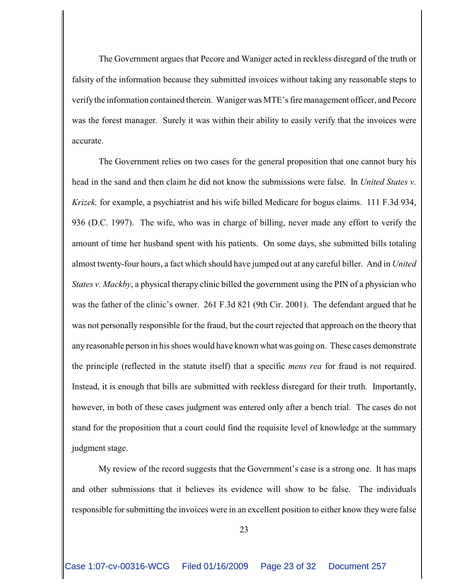The Government argues that Pecore and Waniger acted in reckless disregard of the truth or falsity of the information because they submitted invoices without taking any reasonable steps to verify the information contained therein. Waniger was MTE's fire management officer, and Pecore was the forest manager. Surely it was within their ability to easily verify that the invoices were accurate.

The Government relies on two cases for the general proposition that one cannot bury his head in the sand and then claim he did not know the submissions were false. In *United States v. Krizek,* for example, a psychiatrist and his wife billed Medicare for bogus claims. 111 F.3d 934, 936 (D.C. 1997). The wife, who was in charge of billing, never made any effort to verify the amount of time her husband spent with his patients. On some days, she submitted bills totaling almost twenty-four hours, a fact which should have jumped out at any careful biller. And in *United States v. Mackby*, a physical therapy clinic billed the government using the PIN of a physician who was the father of the clinic's owner. 261 F.3d 821 (9th Cir. 2001). The defendant argued that he was not personally responsible for the fraud, but the court rejected that approach on the theory that any reasonable person in hisshoes would have known what was going on. These cases demonstrate the principle (reflected in the statute itself) that a specific *mens rea* for fraud is not required. Instead, it is enough that bills are submitted with reckless disregard for their truth. Importantly, however, in both of these cases judgment was entered only after a bench trial. The cases do not stand for the proposition that a court could find the requisite level of knowledge at the summary judgment stage.

My review of the record suggests that the Government's case is a strong one. It has maps and other submissions that it believes its evidence will show to be false. The individuals responsible for submitting the invoices were in an excellent position to either know they were false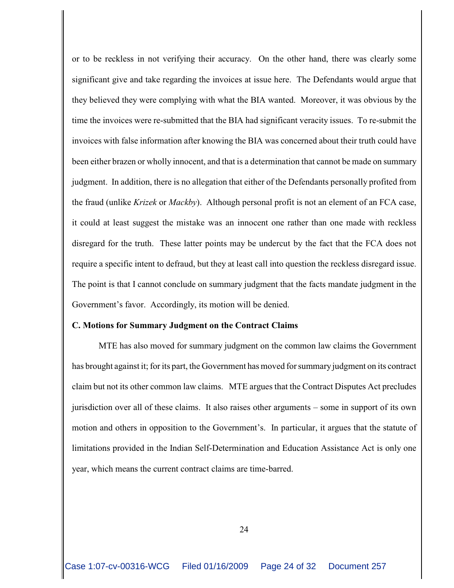or to be reckless in not verifying their accuracy. On the other hand, there was clearly some significant give and take regarding the invoices at issue here. The Defendants would argue that they believed they were complying with what the BIA wanted. Moreover, it was obvious by the time the invoices were re-submitted that the BIA had significant veracity issues. To re-submit the invoices with false information after knowing the BIA was concerned about their truth could have been either brazen or wholly innocent, and that is a determination that cannot be made on summary judgment. In addition, there is no allegation that either of the Defendants personally profited from the fraud (unlike *Krizek* or *Mackby*). Although personal profit is not an element of an FCA case, it could at least suggest the mistake was an innocent one rather than one made with reckless disregard for the truth. These latter points may be undercut by the fact that the FCA does not require a specific intent to defraud, but they at least call into question the reckless disregard issue. The point is that I cannot conclude on summary judgment that the facts mandate judgment in the Government's favor. Accordingly, its motion will be denied.

#### **C. Motions for Summary Judgment on the Contract Claims**

MTE has also moved for summary judgment on the common law claims the Government has brought against it; for its part, the Government has moved for summary judgment on its contract claim but not its other common law claims. MTE argues that the Contract Disputes Act precludes jurisdiction over all of these claims. It also raises other arguments – some in support of its own motion and others in opposition to the Government's. In particular, it argues that the statute of limitations provided in the Indian Self-Determination and Education Assistance Act is only one year, which means the current contract claims are time-barred.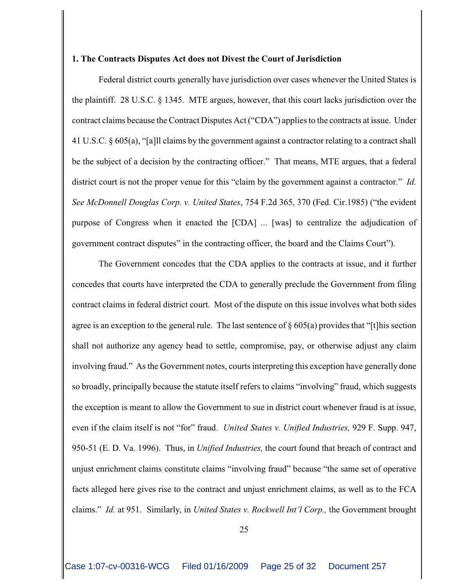## **1. The Contracts Disputes Act does not Divest the Court of Jurisdiction**

Federal district courts generally have jurisdiction over cases whenever the United States is the plaintiff. 28 U.S.C. § 1345. MTE argues, however, that this court lacks jurisdiction over the contract claims because the Contract Disputes Act ("CDA") applies to the contracts at issue. Under 41 U.S.C. § 605(a), "[a]ll claims by the government against a contractor relating to a contract shall be the subject of a decision by the contracting officer." That means, MTE argues, that a federal district court is not the proper venue for this "claim by the government against a contractor." *Id. See McDonnell Douglas Corp. v. United States*, 754 F.2d 365, 370 (Fed. Cir.1985) ("the evident purpose of Congress when it enacted the [CDA] ... [was] to centralize the adjudication of government contract disputes" in the contracting officer, the board and the Claims Court").

The Government concedes that the CDA applies to the contracts at issue, and it further concedes that courts have interpreted the CDA to generally preclude the Government from filing contract claims in federal district court. Most of the dispute on this issue involves what both sides agree is an exception to the general rule. The last sentence of  $\S 605(a)$  provides that "[t]his section shall not authorize any agency head to settle, compromise, pay, or otherwise adjust any claim involving fraud." As the Government notes, courts interpreting this exception have generally done so broadly, principally because the statute itself refers to claims "involving" fraud, which suggests the exception is meant to allow the Government to sue in district court whenever fraud is at issue, even if the claim itself is not "for" fraud. *United States v. Unified Industries,* 929 F. Supp. 947, 950-51 (E. D. Va. 1996). Thus, in *Unified Industries,* the court found that breach of contract and unjust enrichment claims constitute claims "involving fraud" because "the same set of operative facts alleged here gives rise to the contract and unjust enrichment claims, as well as to the FCA claims." *Id.* at 951. Similarly, in *United States v. Rockwell Int'l Corp.,* the Government brought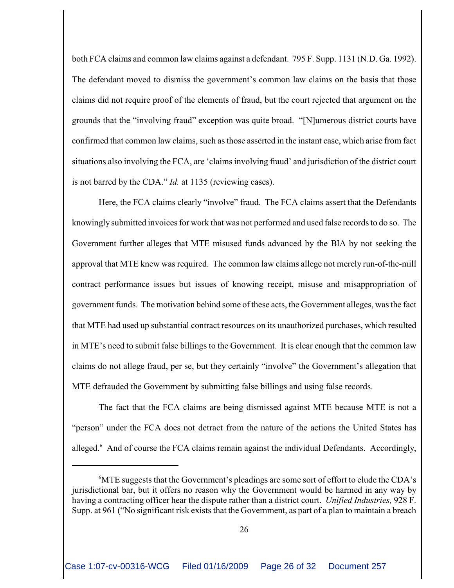both FCA claims and common law claims against a defendant. 795 F. Supp. 1131 (N.D. Ga. 1992). The defendant moved to dismiss the government's common law claims on the basis that those claims did not require proof of the elements of fraud, but the court rejected that argument on the grounds that the "involving fraud" exception was quite broad. "[N]umerous district courts have confirmed that common law claims, such as those asserted in the instant case, which arise from fact situations also involving the FCA, are 'claims involving fraud' and jurisdiction of the district court is not barred by the CDA." *Id.* at 1135 (reviewing cases).

Here, the FCA claims clearly "involve" fraud. The FCA claims assert that the Defendants knowingly submitted invoices for work that was not performed and used false records to do so. The Government further alleges that MTE misused funds advanced by the BIA by not seeking the approval that MTE knew was required. The common law claims allege not merely run-of-the-mill contract performance issues but issues of knowing receipt, misuse and misappropriation of government funds. The motivation behind some of these acts, the Government alleges, was the fact that MTE had used up substantial contract resources on its unauthorized purchases, which resulted in MTE's need to submit false billings to the Government. It is clear enough that the common law claims do not allege fraud, per se, but they certainly "involve" the Government's allegation that MTE defrauded the Government by submitting false billings and using false records.

The fact that the FCA claims are being dismissed against MTE because MTE is not a "person" under the FCA does not detract from the nature of the actions the United States has alleged.<sup>6</sup> And of course the FCA claims remain against the individual Defendants. Accordingly,

 $\rm^6MTE$  suggests that the Government's pleadings are some sort of effort to elude the CDA's jurisdictional bar, but it offers no reason why the Government would be harmed in any way by having a contracting officer hear the dispute rather than a district court. *Unified Industries,* 928 F. Supp. at 961 ("No significant risk exists that the Government, as part of a plan to maintain a breach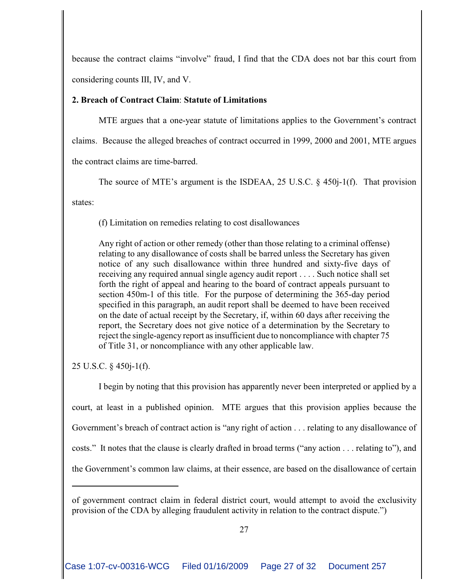because the contract claims "involve" fraud, I find that the CDA does not bar this court from considering counts III, IV, and V.

# **2. Breach of Contract Claim**: **Statute of Limitations**

MTE argues that a one-year statute of limitations applies to the Government's contract claims. Because the alleged breaches of contract occurred in 1999, 2000 and 2001, MTE argues the contract claims are time-barred.

The source of MTE's argument is the ISDEAA, 25 U.S.C. § 450j-1(f). That provision

states:

(f) Limitation on remedies relating to cost disallowances

Any right of action or other remedy (other than those relating to a criminal offense) relating to any disallowance of costs shall be barred unless the Secretary has given notice of any such disallowance within three hundred and sixty-five days of receiving any required annual single agency audit report . . . . Such notice shall set forth the right of appeal and hearing to the board of contract appeals pursuant to section 450m-1 of this title. For the purpose of determining the 365-day period specified in this paragraph, an audit report shall be deemed to have been received on the date of actual receipt by the Secretary, if, within 60 days after receiving the report, the Secretary does not give notice of a determination by the Secretary to reject the single-agency report as insufficient due to noncompliance with chapter 75 of Title 31, or noncompliance with any other applicable law.

25 U.S.C. § 450j-1(f).

I begin by noting that this provision has apparently never been interpreted or applied by a court, at least in a published opinion. MTE argues that this provision applies because the Government's breach of contract action is "any right of action . . . relating to any disallowance of costs." It notes that the clause is clearly drafted in broad terms ("any action . . . relating to"), and the Government's common law claims, at their essence, are based on the disallowance of certain

of government contract claim in federal district court, would attempt to avoid the exclusivity provision of the CDA by alleging fraudulent activity in relation to the contract dispute.")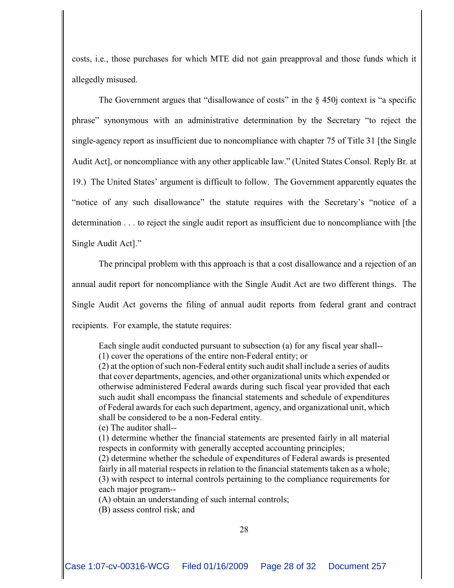costs, i.e., those purchases for which MTE did not gain preapproval and those funds which it allegedly misused.

The Government argues that "disallowance of costs" in the § 450j context is "a specific phrase" synonymous with an administrative determination by the Secretary "to reject the single-agency report as insufficient due to noncompliance with chapter 75 of Title 31 [the Single Audit Act], or noncompliance with any other applicable law." (United States Consol. Reply Br. at 19.) The United States' argument is difficult to follow. The Government apparently equates the "notice of any such disallowance" the statute requires with the Secretary's "notice of a determination . . . to reject the single audit report as insufficient due to noncompliance with [the Single Audit Act]."

The principal problem with this approach is that a cost disallowance and a rejection of an annual audit report for noncompliance with the Single Audit Act are two different things. The Single Audit Act governs the filing of annual audit reports from federal grant and contract recipients. For example, the statute requires:

Each single audit conducted pursuant to subsection (a) for any fiscal year shall-- (1) cover the operations of the entire non-Federal entity; or

(2) at the option of such non-Federal entity such audit shall include a series of audits that cover departments, agencies, and other organizational units which expended or otherwise administered Federal awards during such fiscal year provided that each such audit shall encompass the financial statements and schedule of expenditures of Federal awards for each such department, agency, and organizational unit, which shall be considered to be a non-Federal entity.

(e) The auditor shall--

(1) determine whether the financial statements are presented fairly in all material respects in conformity with generally accepted accounting principles;

(2) determine whether the schedule of expenditures of Federal awards is presented fairly in all material respects in relation to the financial statements taken as a whole; (3) with respect to internal controls pertaining to the compliance requirements for each major program--

(A) obtain an understanding of such internal controls;

(B) assess control risk; and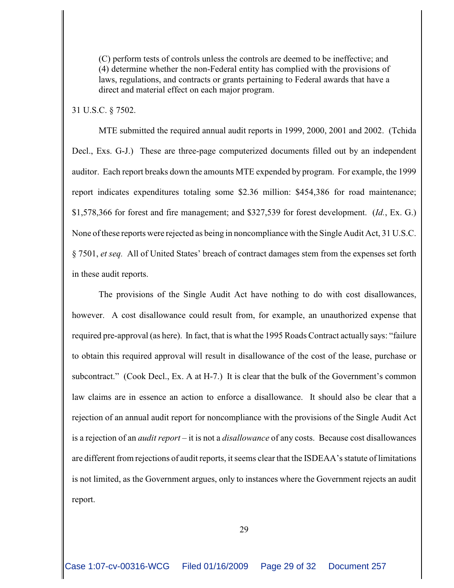(C) perform tests of controls unless the controls are deemed to be ineffective; and (4) determine whether the non-Federal entity has complied with the provisions of laws, regulations, and contracts or grants pertaining to Federal awards that have a direct and material effect on each major program.

31 U.S.C. § 7502.

MTE submitted the required annual audit reports in 1999, 2000, 2001 and 2002. (Tchida Decl., Exs. G-J.) These are three-page computerized documents filled out by an independent auditor. Each report breaks down the amounts MTE expended by program. For example, the 1999 report indicates expenditures totaling some \$2.36 million: \$454,386 for road maintenance; \$1,578,366 for forest and fire management; and \$327,539 for forest development. (*Id.*, Ex. G.) None ofthese reports were rejected as being in noncompliance with the Single Audit Act, 31 U.S.C. § 7501, *et seq.* All of United States' breach of contract damages stem from the expenses set forth in these audit reports.

The provisions of the Single Audit Act have nothing to do with cost disallowances, however. A cost disallowance could result from, for example, an unauthorized expense that required pre-approval (as here). In fact, that is what the 1995 Roads Contract actually says: "failure to obtain this required approval will result in disallowance of the cost of the lease, purchase or subcontract." (Cook Decl., Ex. A at H-7.) It is clear that the bulk of the Government's common law claims are in essence an action to enforce a disallowance. It should also be clear that a rejection of an annual audit report for noncompliance with the provisions of the Single Audit Act is a rejection of an *audit report* – it is not a *disallowance* of any costs. Because cost disallowances are different from rejections of audit reports, it seems clear that the ISDEAA's statute of limitations is not limited, as the Government argues, only to instances where the Government rejects an audit report.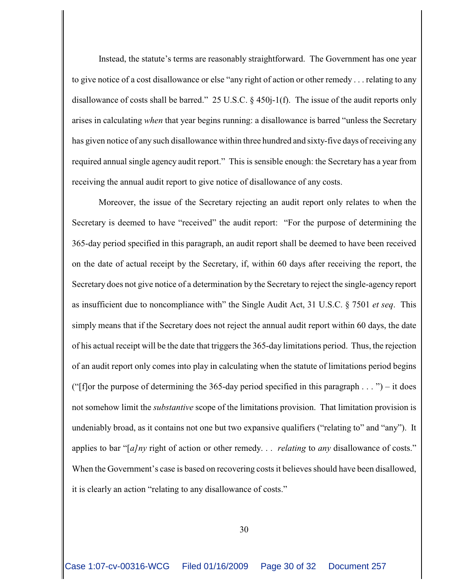Instead, the statute's terms are reasonably straightforward. The Government has one year to give notice of a cost disallowance or else "any right of action or other remedy . . . relating to any disallowance of costs shall be barred." 25 U.S.C. § 450j-1(f). The issue of the audit reports only arises in calculating *when* that year begins running: a disallowance is barred "unless the Secretary has given notice of any such disallowance within three hundred and sixty-five days of receiving any required annual single agency audit report." This is sensible enough: the Secretary has a year from receiving the annual audit report to give notice of disallowance of any costs.

Moreover, the issue of the Secretary rejecting an audit report only relates to when the Secretary is deemed to have "received" the audit report: "For the purpose of determining the 365-day period specified in this paragraph, an audit report shall be deemed to have been received on the date of actual receipt by the Secretary, if, within 60 days after receiving the report, the Secretary does not give notice of a determination by the Secretary to reject the single-agency report as insufficient due to noncompliance with" the Single Audit Act, 31 U.S.C. § 7501 *et seq*. This simply means that if the Secretary does not reject the annual audit report within 60 days, the date of his actual receipt will be the date that triggers the 365-day limitations period. Thus, the rejection of an audit report only comes into play in calculating when the statute of limitations period begins ("[f]or the purpose of determining the 365-day period specified in this paragraph  $\dots$ ") – it does not somehow limit the *substantive* scope of the limitations provision. That limitation provision is undeniably broad, as it contains not one but two expansive qualifiers ("relating to" and "any"). It applies to bar "[*a]ny* right of action or other remedy. . . *relating* to *any* disallowance of costs." When the Government's case is based on recovering costs it believes should have been disallowed, it is clearly an action "relating to any disallowance of costs."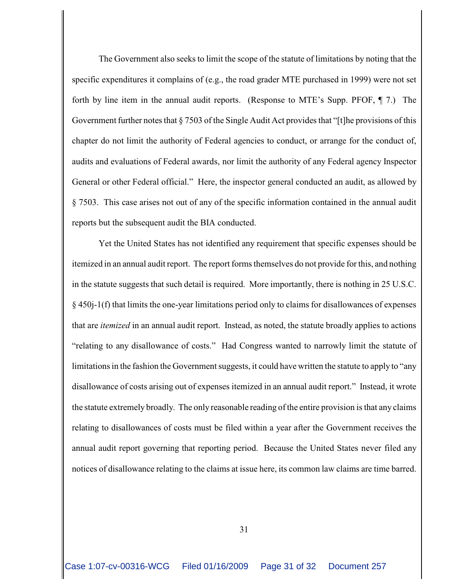The Government also seeks to limit the scope of the statute of limitations by noting that the specific expenditures it complains of (e.g., the road grader MTE purchased in 1999) were not set forth by line item in the annual audit reports. (Response to MTE's Supp. PFOF, ¶ 7.) The Government further notes that § 7503 of the Single Audit Act provides that "[t]he provisions of this chapter do not limit the authority of Federal agencies to conduct, or arrange for the conduct of, audits and evaluations of Federal awards, nor limit the authority of any Federal agency Inspector General or other Federal official." Here, the inspector general conducted an audit, as allowed by § 7503. This case arises not out of any of the specific information contained in the annual audit reports but the subsequent audit the BIA conducted.

Yet the United States has not identified any requirement that specific expenses should be itemized in an annual audit report. The report forms themselves do not provide for this, and nothing in the statute suggests that such detail is required. More importantly, there is nothing in 25 U.S.C. § 450j-1(f) that limits the one-year limitations period only to claims for disallowances of expenses that are *itemized* in an annual audit report. Instead, as noted, the statute broadly applies to actions "relating to any disallowance of costs." Had Congress wanted to narrowly limit the statute of limitations in the fashion the Government suggests, it could have written the statute to apply to "any disallowance of costs arising out of expenses itemized in an annual audit report." Instead, it wrote the statute extremely broadly. The only reasonable reading ofthe entire provision is that any claims relating to disallowances of costs must be filed within a year after the Government receives the annual audit report governing that reporting period. Because the United States never filed any notices of disallowance relating to the claims at issue here, its common law claims are time barred.